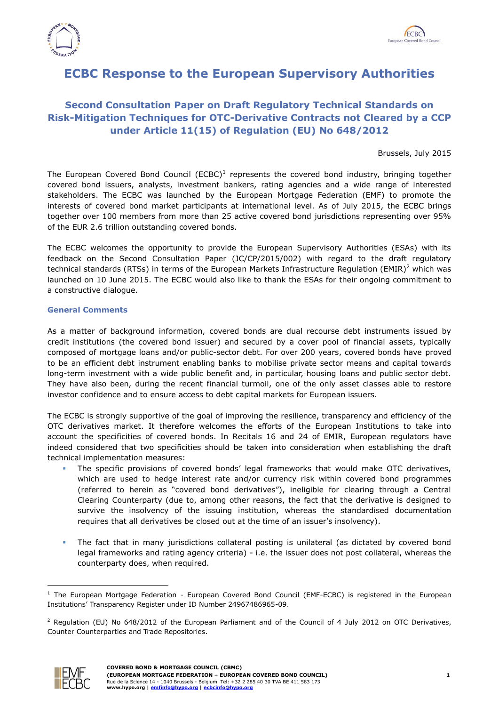



## **ECBC Response to the European Supervisory Authorities**

## **Second Consultation Paper on Draft Regulatory Technical Standards on Risk-Mitigation Techniques for OTC-Derivative Contracts not Cleared by a CCP under Article 11(15) of Regulation (EU) No 648/2012**

Brussels, July 2015

The European Covered Bond Council (ECBC)<sup>1</sup> represents the covered bond industry, bringing together covered bond issuers, analysts, investment bankers, rating agencies and a wide range of interested stakeholders. The ECBC was launched by the European Mortgage Federation (EMF) to promote the interests of covered bond market participants at international level. As of July 2015, the ECBC brings together over 100 members from more than 25 active covered bond jurisdictions representing over 95% of the EUR 2.6 trillion outstanding covered bonds.

The ECBC welcomes the opportunity to provide the European Supervisory Authorities (ESAs) with its feedback on the Second Consultation Paper (JC/CP/2015/002) with regard to the draft regulatory technical standards (RTSs) in terms of the European Markets Infrastructure Regulation (EMIR)<sup>2</sup> which was launched on 10 June 2015. The ECBC would also like to thank the ESAs for their ongoing commitment to a constructive dialogue.

## **General Comments**

As a matter of background information, covered bonds are dual recourse debt instruments issued by credit institutions (the covered bond issuer) and secured by a cover pool of financial assets, typically composed of mortgage loans and/or public-sector debt. For over 200 years, covered bonds have proved to be an efficient debt instrument enabling banks to mobilise private sector means and capital towards long-term investment with a wide public benefit and, in particular, housing loans and public sector debt. They have also been, during the recent financial turmoil, one of the only asset classes able to restore investor confidence and to ensure access to debt capital markets for European issuers.

The ECBC is strongly supportive of the goal of improving the resilience, transparency and efficiency of the OTC derivatives market. It therefore welcomes the efforts of the European Institutions to take into account the specificities of covered bonds. In Recitals 16 and 24 of EMIR, European regulators have indeed considered that two specificities should be taken into consideration when establishing the draft technical implementation measures:

- The specific provisions of covered bonds' legal frameworks that would make OTC derivatives, which are used to hedge interest rate and/or currency risk within covered bond programmes (referred to herein as "covered bond derivatives"), ineligible for clearing through a Central Clearing Counterparty (due to, among other reasons, the fact that the derivative is designed to survive the insolvency of the issuing institution, whereas the standardised documentation requires that all derivatives be closed out at the time of an issuer's insolvency).
- The fact that in many jurisdictions collateral posting is unilateral (as dictated by covered bond legal frameworks and rating agency criteria) - i.e. the issuer does not post collateral, whereas the counterparty does, when required.

<sup>&</sup>lt;sup>2</sup> Regulation (EU) No 648/2012 of the European Parliament and of the Council of 4 July 2012 on OTC Derivatives, Counter Counterparties and Trade Repositories.



<sup>-</sup> $1$  The European Mortgage Federation - European Covered Bond Council (EMF-ECBC) is registered in the European Institutions' Transparency Register under ID Number 24967486965-09.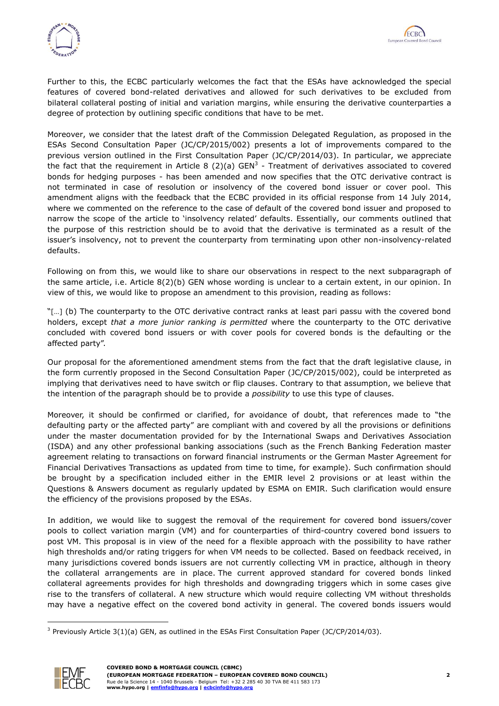



Further to this, the ECBC particularly welcomes the fact that the ESAs have acknowledged the special features of covered bond-related derivatives and allowed for such derivatives to be excluded from bilateral collateral posting of initial and variation margins, while ensuring the derivative counterparties a degree of protection by outlining specific conditions that have to be met.

Moreover, we consider that the latest draft of the Commission Delegated Regulation, as proposed in the ESAs Second Consultation Paper (JC/CP/2015/002) presents a lot of improvements compared to the previous version outlined in the First Consultation Paper (JC/CP/2014/03). In particular, we appreciate the fact that the requirement in Article 8 (2)(a) GEN<sup>3</sup> - Treatment of derivatives associated to covered bonds for hedging purposes - has been amended and now specifies that the OTC derivative contract is not terminated in case of resolution or insolvency of the covered bond issuer or cover pool. This amendment aligns with the feedback that the ECBC provided in its official response from 14 July 2014, where we commented on the reference to the case of default of the covered bond issuer and proposed to narrow the scope of the article to 'insolvency related' defaults. Essentially, our comments outlined that the purpose of this restriction should be to avoid that the derivative is terminated as a result of the issuer's insolvency, not to prevent the counterparty from terminating upon other non-insolvency-related defaults.

Following on from this, we would like to share our observations in respect to the next subparagraph of the same article, i.e. Article 8(2)(b) GEN whose wording is unclear to a certain extent, in our opinion. In view of this, we would like to propose an amendment to this provision, reading as follows:

"[…] (b) The counterparty to the OTC derivative contract ranks at least pari passu with the covered bond holders, except *that a more junior ranking is permitted* where the counterparty to the OTC derivative concluded with covered bond issuers or with cover pools for covered bonds is the defaulting or the affected party".

Our proposal for the aforementioned amendment stems from the fact that the draft legislative clause, in the form currently proposed in the Second Consultation Paper (JC/CP/2015/002), could be interpreted as implying that derivatives need to have switch or flip clauses. Contrary to that assumption, we believe that the intention of the paragraph should be to provide a *possibility* to use this type of clauses.

Moreover, it should be confirmed or clarified, for avoidance of doubt, that references made to "the defaulting party or the affected party" are compliant with and covered by all the provisions or definitions under the master documentation provided for by the International Swaps and Derivatives Association (ISDA) and any other professional banking associations (such as the French Banking Federation master agreement relating to transactions on forward financial instruments or the German Master Agreement for Financial Derivatives Transactions as updated from time to time, for example). Such confirmation should be brought by a specification included either in the EMIR level 2 provisions or at least within the Questions & Answers document as regularly updated by ESMA on EMIR. Such clarification would ensure the efficiency of the provisions proposed by the ESAs.

In addition, we would like to suggest the removal of the requirement for covered bond issuers/cover pools to collect variation margin (VM) and for counterparties of third-country covered bond issuers to post VM. This proposal is in view of the need for a flexible approach with the possibility to have rather high thresholds and/or rating triggers for when VM needs to be collected. Based on feedback received, in many jurisdictions covered bonds issuers are not currently collecting VM in practice, although in theory the collateral arrangements are in place. The current approved standard for covered bonds linked collateral agreements provides for high thresholds and downgrading triggers which in some cases give rise to the transfers of collateral. A new structure which would require collecting VM without thresholds may have a negative effect on the covered bond activity in general. The covered bonds issuers would

<sup>&</sup>lt;sup>3</sup> Previously Article 3(1)(a) GEN, as outlined in the ESAs First Consultation Paper (JC/CP/2014/03).



-